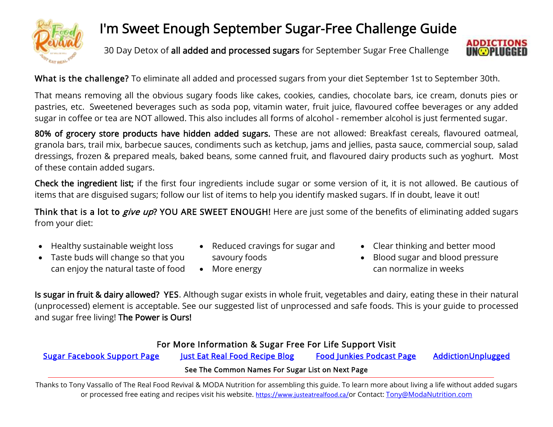

### [I'](https://www.justeatrealfood.ca/)m Sweet Enough September Sugar-Free Challenge Guide

30 Day Detox of all added and processed sugars for September Sugar Free Challenge



What is the challenge? To eliminate all added and processed sugars from your diet September 1st to September 30th.

That means removing all the obvious sugary foods like cakes, cookies, candies, chocolate bars, ice cream, donuts pies or pastries, etc. Sweetened beverages such as soda pop, vitamin water, fruit juice, flavoured coffee beverages or any added sugar in coffee or tea are NOT allowed. This also includes all forms of alcohol - remember alcohol is just fermented sugar.

80% of grocery store products have hidden added sugars. These are not allowed: Breakfast cereals, flavoured oatmeal, granola bars, trail mix, barbecue sauces, condiments such as ketchup, jams and jellies, pasta sauce, commercial soup, salad dressings, frozen & prepared meals, baked beans, some canned fruit, and flavoured dairy products such as yoghurt. Most of these contain added sugars.

Check the ingredient list; if the first four ingredients include sugar or some version of it, it is not allowed. Be cautious of items that are disguised sugars; follow our list of items to help you identify masked sugars. If in doubt, leave it out!

Think that is a lot to *give up*? YOU ARE SWEET ENOUGH! Here are just some of the benefits of eliminating added sugars from your diet:

- Healthy sustainable weight loss
- Taste buds will change so that you can enjoy the natural taste of food
- Reduced cravings for sugar and

savoury foods

• More energy

- Clear thinking and better mood
- Blood sugar and blood pressure can normalize in weeks

Is sugar in fruit & dairy allowed? YES. Although sugar exists in whole fruit, vegetables and dairy, eating these in their natural (unprocessed) element is acceptable. See our suggested list of unprocessed and safe foods. This is your guide to processed and sugar free living! The Power is Ours!

### For More Information & Sugar Free For Life Support Visit

[Sugar Facebook Support Page](https://www.facebook.com/groups/SugarFreeForLife/) [Just Eat Real Food Recipe Blog Food Junkies Podcast Page](https://podcasts.apple.com/ca/podcast/food-junkies-podcast/id1547705773) [AddictionUnplugged](https://www.addictionsunplugged.com/) 

#### See The Common Names For Sugar List on Next Page

Thanks to Tony Vassallo of The Real Food Revival & MODA Nutrition for assembling this guide. To learn more about living a life without added sugars or processed free eating and recipes visit his website. <https://www.justeatrealfood.ca/>or Contact: [Tony@ModaNutrition.com](mailto:Tony@ModaNutrition.com)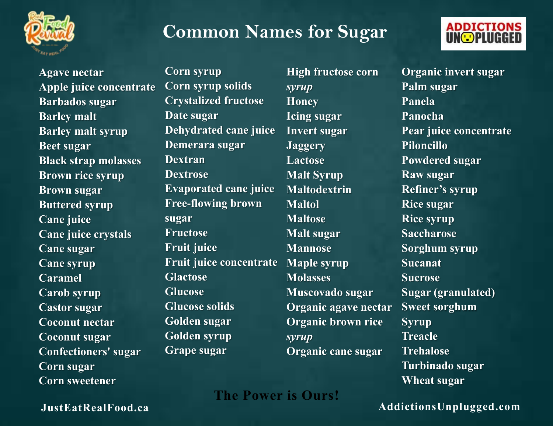

## **Common Names for Sugar**



**Agave nectar Apple juice concentrate Barbados sugar Barley malt Barley malt syrup Beet sugar Black strap molasses Brown rice syrup Brown sugar Buttered syrup Cane juice Cane juice crystals Cane sugar Cane syrup Caramel Carob syrup Castor sugar Coconut nectar Coconut sugar Confectioners' sugar Corn sugar Corn sweetener** 

**Corn syrup Corn syrup solids Crystalized fructose Date sugar Dehydrated cane juice Demerara sugar Dextran Dextrose Evaporated cane juice Free-flowing brown sugar Fructose Fruit juice Fruit juice concentrate Glactose Glucose Glucose solids Golden sugar Golden syrup Grape sugar**

**High fructose corn**  *syrup* **Honey Icing sugar Invert sugar Jaggery Lactose Malt Syrup Maltodextrin Maltol Maltose Malt sugar Mannose Maple syrup Molasses Muscovado sugar Organic agave nectar Organic brown rice**  *syrup* **Organic cane sugar**

**Organic invert sugar Palm sugar Panela Panocha Pear juice concentrate Piloncillo Powdered sugar Raw sugar Refiner's syrup Rice sugar Rice syrup Saccharose Sorghum syrup Sucanat Sucrose Sugar (granulated) Sweet sorghum Syrup Treacle Trehalose Turbinado sugar Wheat sugar**

**The Power is Ours!**

**[JustEatRealFood.ca](https://www.justeatrealfood.ca/) [AddictionsUnplugged.com](https://www.addictionsunplugged.com/)**